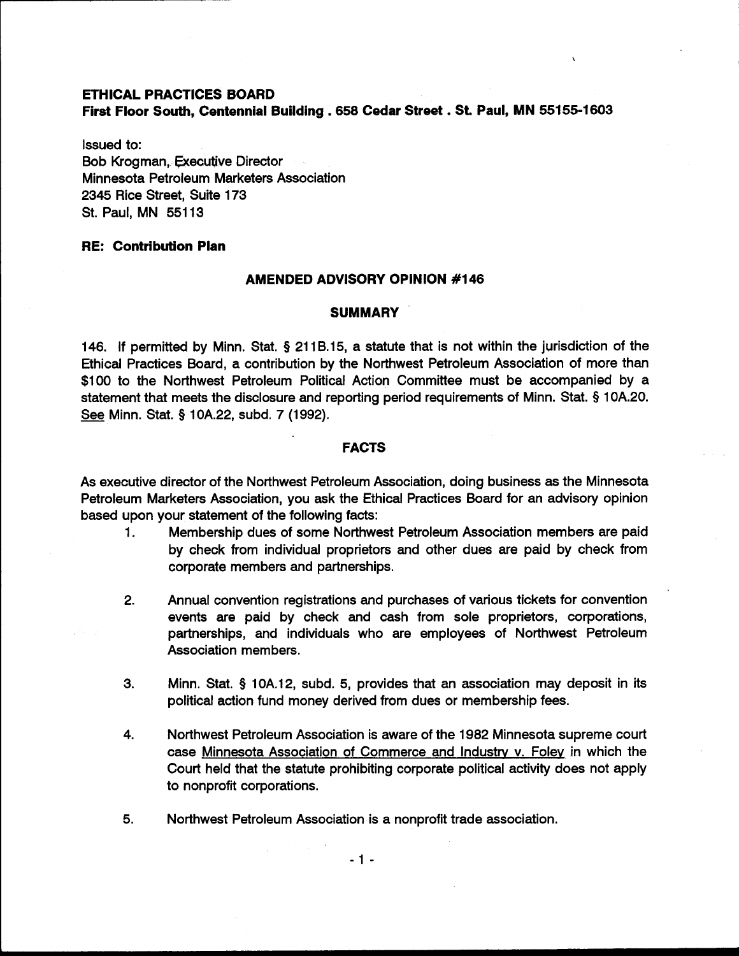### **ETHICAL PRACTICES BOARD**

**First Floor South, Centennial Building ,658 Cedar Street** . **St. Paul, MN 55155-1603** 

Issued to: Bob Krogman, Executive Director Minnesota Petroleum Marketers Association 2345 Rice Street, Suite 173 St. Paul, MN 551 13

# **RE: Contribution Plan**

### **AMENDED ADVISORY OPINION #I46**

### **SUMMARY**

146. If permitted by Minn. Stat. **9** 21 18.15, a statute that is not within the jurisdiction of the Ethical Practices Board, a contribution by the Northwest Petroleum Association of more than \$100 to the Northwest Petroleum Political Action Committee must be accompanied by a statement that meets the disclosure and reporting period requirements of Minn. Stat. **9** 1 OA.20. Ethical Practices Board, a contribution by<br>\$100 to the Northwest Petroleum Politic<br>statement that meets the disclosure and re<br><u>See</u> Minn. Stat. § 10A.22, subd. 7 (1992).

# **FACTS**

As executive director of the Northwest Petroleum Association, doing business as the Minnesota Petroleum Marketers Association, you ask the Ethical Practices Board for an advisory opinion based upon your statement of the following facts:

- 1. Membership dues of some Northwest Petroleum Association members are paid by check from individual proprietors and other dues are paid by check from corporate members and partnerships.
- 2. Annual convention registrations and purchases of various tickets for convention events are paid by check and cash from sole proprietors, corporations, partnerships, and individuals who are employees of Northwest Petroleum Association members.
- 3. Minn. Stat. **9** 10A.12, subd. 5, provides that an association may deposit in its political action fund money derived from dues or membership fees.
- 4. Northwest Petroleum Association is aware of the 1982 Minnesota supreme court case Minnesota Association of Commerce and Industry v. Foley in which the Court held that the statute prohibiting corporate political activity does not apply to nonprofit corporations.
- 5. Northwest Petroleum Association is a nonprofit trade association.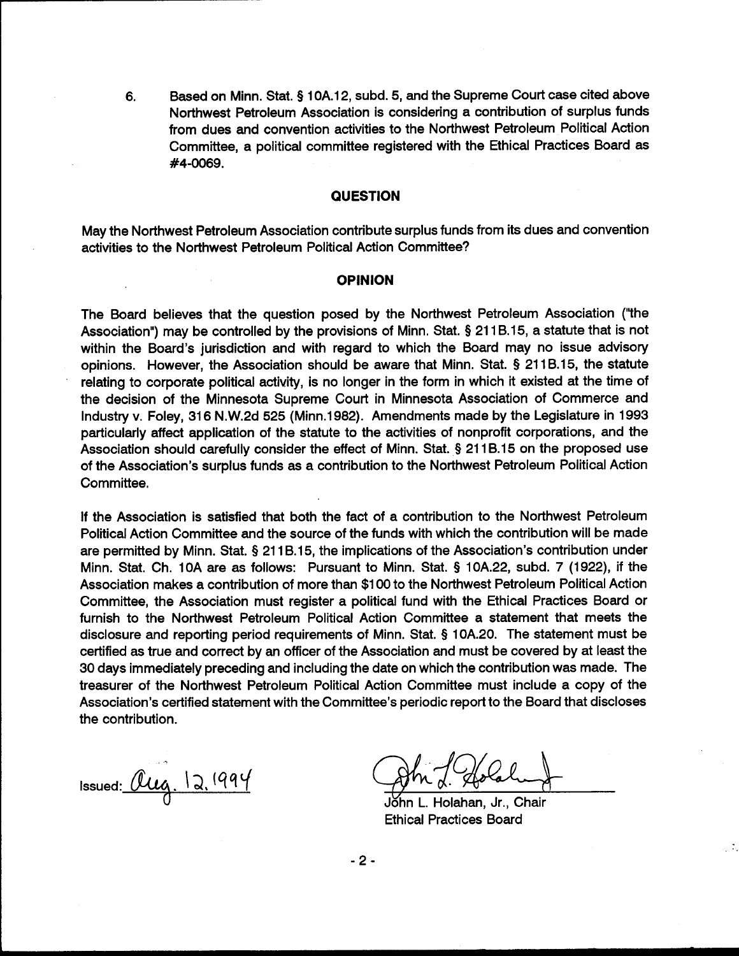Based on Minn. Stat. § 10A.12, subd. 5, and the Supreme Court case cited above 6. Northwest Petroleum Association is considering a contribution of surplus funds from dues and convention activities to the Northwest Petroleum Political Action Committee, a political committee registered with the Ethical Practices Board as #4-0069.

# **QUESTION**

May the Northwest Petroleum Association contribute surplus funds from its dues and convention activities to the Northwest Petroleum Political Action Committee?

# **OPINION**

The Board believes that the question posed by the Northwest Petroleum Association ("the Association") may be controlled by the provisions of Minn. Stat. § 211B.15, a statute that is not within the Board's jurisdiction and with regard to which the Board may no issue advisory opinions. However, the Association should be aware that Minn. Stat. § 211B.15, the statute relating to corporate political activity, is no longer in the form in which it existed at the time of the decision of the Minnesota Supreme Court in Minnesota Association of Commerce and Industry v. Foley, 316 N.W.2d 525 (Minn.1982). Amendments made by the Legislature in 1993 particularly affect application of the statute to the activities of nonprofit corporations, and the Association should carefully consider the effect of Minn. Stat. § 211B.15 on the proposed use of the Association's surplus funds as a contribution to the Northwest Petroleum Political Action Committee.

If the Association is satisfied that both the fact of a contribution to the Northwest Petroleum Political Action Committee and the source of the funds with which the contribution will be made are permitted by Minn. Stat. § 211B.15, the implications of the Association's contribution under Minn. Stat. Ch. 10A are as follows: Pursuant to Minn. Stat. § 10A.22, subd. 7 (1922), if the Association makes a contribution of more than \$100 to the Northwest Petroleum Political Action Committee, the Association must register a political fund with the Ethical Practices Board or furnish to the Northwest Petroleum Political Action Committee a statement that meets the disclosure and reporting period requirements of Minn. Stat. § 10A.20. The statement must be certified as true and correct by an officer of the Association and must be covered by at least the 30 days immediately preceding and including the date on which the contribution was made. The treasurer of the Northwest Petroleum Political Action Committee must include a copy of the Association's certified statement with the Committee's periodic report to the Board that discloses the contribution.

Issued:  $Qug. 12.1994$ 

Holahan, Jr., Chair **Ethical Practices Board** 

 $-2-$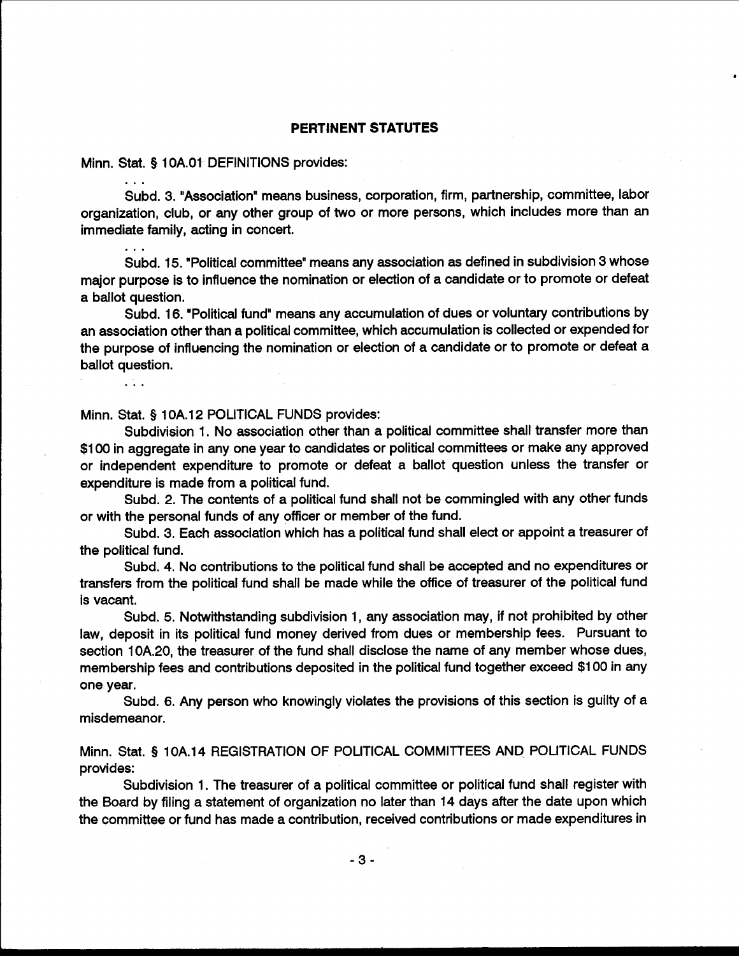#### **PERTINENT STATUTES**

Minn. Stat. § 10A.01 DEFINITIONS provides:

Subd. 3. "Association" means business, corporation, firm, partnership, committee, labor organization, club, or any other group of two or more persons, which includes more than an immediate family, acting in concert.

Subd. 15. "Political committee" means any association as defined in subdivision 3 whose major purpose is to influence the nomination or election of a candidate or to promote or defeat a ballot question.

Subd, 16. "Political fund" means any accumulation of dues or voluntary contributions by an association other than a political committee, which accumulation is collected or expended for the purpose of influencing the nomination or election of a candidate or to promote or defeat a ballot question.

Minn. Stat. § 10A.12 POLITICAL FUNDS provides:

 $\mathbf{1}$ 

Subdivision 1. No association other than a political committee shall transfer more than \$100 in aggregate in any one year to candidates or political committees or make any approved or independent expenditure to promote or defeat a ballot question unless the transfer or expenditure is made from a political fund.

Subd. 2. The contents of a political fund shall not be commingled with any other funds or with the personal funds of any officer or member of the fund.

Subd. 3. Each association which has a political fund shall elect or appoint a treasurer of the political fund.

Subd. 4. No contributions to the political fund shall be accepted and no expenditures or transfers from the political fund shall be made while the office of treasurer of the political fund is vacant.

Subd. 5. Notwithstanding subdivision 1, any association may, if not prohibited by other law, deposit in its political fund money derived from dues or membership fees. Pursuant to section 10A.20, the treasurer of the fund shall disclose the name of any member whose dues, membership fees and contributions deposited in the political fund together exceed \$100 in any one year.

Subd. 6. Any person who knowingly violates the provisions of this section is guilty of a misdemeanor.

Minn. Stat. § 10A.14 REGISTRATION OF POLITICAL COMMITTEES AND POLITICAL FUNDS provides:

Subdivision 1. The treasurer of a political committee or political fund shall register with the Board by filing a statement of organization no later than 14 days after the date upon which the committee or fund has made a contribution, received contributions or made expenditures in